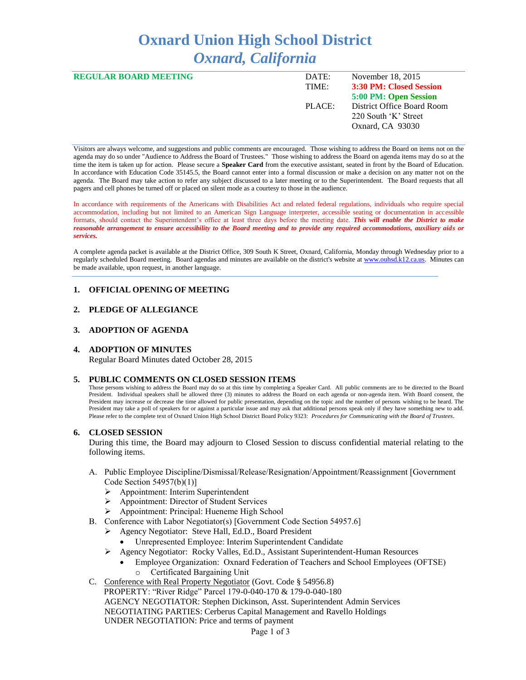# **Oxnard Union High School District** *Oxnard, California*

| <b>REGULAR BOARD MEETING</b> | DATE:  | November 18, 2015          |
|------------------------------|--------|----------------------------|
|                              | TIME:  | 3:30 PM: Closed Session    |
|                              |        | 5:00 PM: Open Session      |
|                              | PLACE: | District Office Board Room |
|                              |        | 220 South 'K' Street       |
|                              |        | Oxnard, CA 93030           |
|                              |        |                            |

Visitors are always welcome, and suggestions and public comments are encouraged. Those wishing to address the Board on items not on the agenda may do so under "Audience to Address the Board of Trustees." Those wishing to address the Board on agenda items may do so at the time the item is taken up for action. Please secure a **Speaker Card** from the executive assistant, seated in front by the Board of Education. In accordance with Education Code 35145.5, the Board cannot enter into a formal discussion or make a decision on any matter not on the agenda. The Board may take action to refer any subject discussed to a later meeting or to the Superintendent. The Board requests that all pagers and cell phones be turned off or placed on silent mode as a courtesy to those in the audience.

In accordance with requirements of the Americans with Disabilities Act and related federal regulations, individuals who require special accommodation, including but not limited to an American Sign Language interpreter, accessible seating or documentation in accessible formats, should contact the Superintendent's office at least three days before the meeting date. *This will enable the District to make reasonable arrangement to ensure accessibility to the Board meeting and to provide any required accommodations, auxiliary aids or services.* 

A complete agenda packet is available at the District Office, 309 South K Street, Oxnard, California, Monday through Wednesday prior to a regularly scheduled Board meeting. Board agendas and minutes are available on the district's website a[t www.ouhsd.k12.ca.us.](http://www.ouhsd.k12.ca.us/)Minutes can be made available, upon request, in another language.

# **1. OFFICIAL OPENING OF MEETING**

# **2. PLEDGE OF ALLEGIANCE**

# **3. ADOPTION OF AGENDA**

## **4. ADOPTION OF MINUTES**

Regular Board Minutes dated October 28, 2015

#### **5. PUBLIC COMMENTS ON CLOSED SESSION ITEMS**

Those persons wishing to address the Board may do so at this time by completing a Speaker Card. All public comments are to be directed to the Board President. Individual speakers shall be allowed three (3) minutes to address the Board on each agenda or non-agenda item. With Board consent, the President may increase or decrease the time allowed for public presentation, depending on the topic and the number of persons wishing to be heard. The President may take a poll of speakers for or against a particular issue and may ask that additional persons speak only if they have something new to add. Please refer to the complete text of Oxnard Union High School District Board Policy 9323: *Procedures for Communicating with the Board of Trustees*.

#### **6. CLOSED SESSION**

During this time, the Board may adjourn to Closed Session to discuss confidential material relating to the following items.

- A. Public Employee Discipline/Dismissal/Release/Resignation/Appointment/Reassignment [Government Code Section 54957(b)(1)]
	- $\triangleright$  Appointment: Interim Superintendent
	- Appointment: Director of Student Services
	- Appointment: Principal: Hueneme High School
- B. Conference with Labor Negotiator(s) [Government Code Section 54957.6]
	- Agency Negotiator: Steve Hall, Ed.D., Board President
		- Unrepresented Employee: Interim Superintendent Candidate
	- Agency Negotiator: Rocky Valles, Ed.D., Assistant Superintendent-Human Resources
		- Employee Organization: Oxnard Federation of Teachers and School Employees (OFTSE) o Certificated Bargaining Unit
- C. Conference with Real Property Negotiator (Govt. Code § 54956.8) PROPERTY: "River Ridge" Parcel 179-0-040-170 & 179-0-040-180 AGENCY NEGOTIATOR: Stephen Dickinson, Asst. Superintendent Admin Services NEGOTIATING PARTIES: Cerberus Capital Management and Ravello Holdings UNDER NEGOTIATION: Price and terms of payment

Page 1 of 3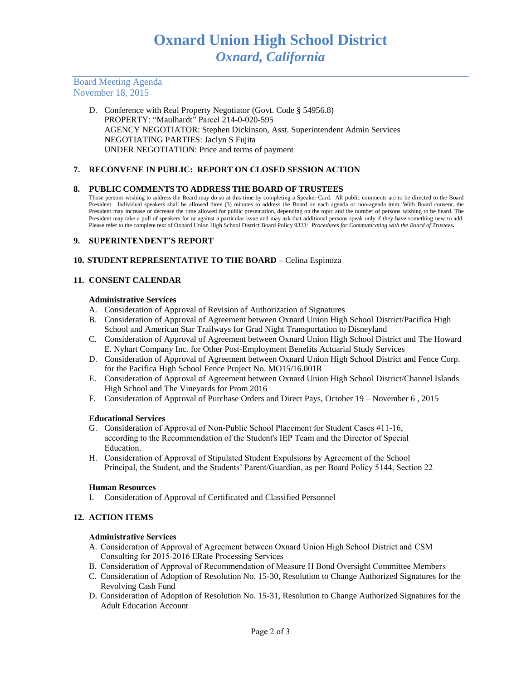Board Meeting Agenda November 18, 2015

> D. Conference with Real Property Negotiator (Govt. Code § 54956.8) PROPERTY: "Maulhardt" Parcel 214-0-020-595 AGENCY NEGOTIATOR: Stephen Dickinson, Asst. Superintendent Admin Services NEGOTIATING PARTIES: Jaclyn S Fujita UNDER NEGOTIATION: Price and terms of payment

## **7. RECONVENE IN PUBLIC: REPORT ON CLOSED SESSION ACTION**

## **8. PUBLIC COMMENTS TO ADDRESS THE BOARD OF TRUSTEES**

Those persons wishing to address the Board may do so at this time by completing a Speaker Card. All public comments are to be directed to the Board President. Individual speakers shall be allowed three (3) minutes to address the Board on each agenda or non-agenda item. With Board consent, the President may increase or decrease the time allowed for public presentation, depending on the topic and the number of persons wishing to be heard. The President may take a poll of speakers for or against a particular issue and may ask that additional persons speak only if they have something new to add. Please refer to the complete text of Oxnard Union High School District Board Policy 9323: *Procedures for Communicating with the Board of Trustees.*

### **9. SUPERINTENDENT'S REPORT**

#### **10. STUDENT REPRESENTATIVE TO THE BOARD –** Celina Espinoza

#### **11. CONSENT CALENDAR**

#### **Administrative Services**

- A. Consideration of Approval of Revision of Authorization of Signatures
- B. Consideration of Approval of Agreement between Oxnard Union High School District/Pacifica High School and American Star Trailways for Grad Night Transportation to Disneyland
- C. Consideration of Approval of Agreement between Oxnard Union High School District and The Howard E. Nyhart Company Inc. for Other Post-Employment Benefits Actuarial Study Services
- D. Consideration of Approval of Agreement between Oxnard Union High School District and Fence Corp. for the Pacifica High School Fence Project No. MO15/16.001R
- E. Consideration of Approval of Agreement between Oxnard Union High School District/Channel Islands High School and The Vineyards for Prom 2016
- F. Consideration of Approval of Purchase Orders and Direct Pays, October 19 November 6 , 2015

#### **Educational Services**

- G. Consideration of Approval of Non-Public School Placement for Student Cases #11-16, according to the Recommendation of the Student's IEP Team and the Director of Special Education.
- H. Consideration of Approval of Stipulated Student Expulsions by Agreement of the School Principal, the Student, and the Students' Parent/Guardian, as per Board Policy 5144, Section 22

#### **Human Resources**

I. Consideration of Approval of Certificated and Classified Personnel

# **12. ACTION ITEMS**

#### **Administrative Services**

- A. Consideration of Approval of Agreement between Oxnard Union High School District and CSM Consulting for 2015-2016 ERate Processing Services
- B. Consideration of Approval of Recommendation of Measure H Bond Oversight Committee Members
- C. Consideration of Adoption of Resolution No. 15-30, Resolution to Change Authorized Signatures for the Revolving Cash Fund
- D. Consideration of Adoption of Resolution No. 15-31, Resolution to Change Authorized Signatures for the Adult Education Account